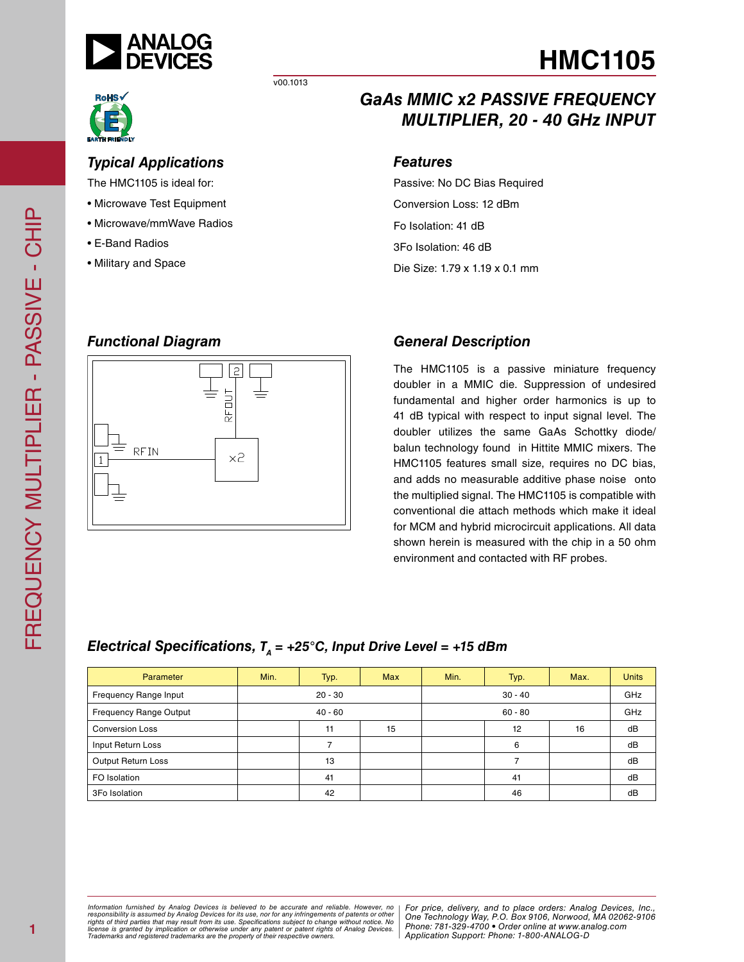

### *Typical Applications*

The HMC1105 is ideal for:

- Microwave Test Equipment
- Microwave/mmWave Radios
- E-Band Radios
- Military and Space

### *GaAs MMIC x2 PASSIVE FREQUENCY MULTIPLIER, 20 - 40 GHz INPUT*

#### *Features*

Passive: No DC Bias Required Conversion Loss: 12 dBm Fo Isolation: 41 dB 3Fo Isolation: 46 dB Die Size: 1.79 x 1.19 x 0.1 mm

### *Functional Diagram*



#### *General Description*

The HMC1105 is a passive miniature frequency doubler in a MMIC die. Suppression of undesired fundamental and higher order harmonics is up to 41 dB typical with respect to input signal level. The doubler utilizes the same GaAs Schottky diode/ balun technology found in Hittite MMIC mixers. The HMC1105 features small size, requires no DC bias, and adds no measurable additive phase noise onto the multiplied signal. The HMC1105 is compatible with conventional die attach methods which make it ideal for MCM and hybrid microcircuit applications. All data shown herein is measured with the chip in a 50 ohm environment and contacted with RF probes.

### *Electrical Specifications,*  $T_A = +25^\circ \text{C}$ , Input Drive Level = +15 dBm

v00.1013

| Parameter                     | Min.      | Typ. | <b>Max</b> | Min.      | Typ. | Max. | <b>Units</b> |
|-------------------------------|-----------|------|------------|-----------|------|------|--------------|
| Frequency Range Input         | $20 - 30$ |      |            | $30 - 40$ |      |      | GHz          |
| <b>Frequency Range Output</b> | $40 - 60$ |      |            | $60 - 80$ |      |      | GHz          |
| <b>Conversion Loss</b>        |           | 11   | 15         |           | 12   | 16   | dB           |
| Input Return Loss             |           |      |            |           | 6    |      | dB           |
| <b>Output Return Loss</b>     |           | 13   |            |           | ⇁    |      | dB           |
| FO Isolation                  |           | 41   |            |           | 41   |      | dB           |
| 3Fo Isolation                 |           | 42   |            |           | 46   |      | dB           |

*Formation iurnished by Analog Devices is believed to be accurate and reliable. However, no Hor price, delivery, and to place orders: Analog Devices, In<br>roonsibility is assumed by Analog Devices for its use, nor for any pressult from its use. Specifications subject to change without notice. No*<br>ation or otherwise under any patent or patent rights of Analog Devices Phone: 781-329-4700 • Order online at ww *e* the property of their respective owners. **Application Support: Phone: 1-8** *Information furnished by Analog Devices is believed to be accurate and reliable. However, no*  responsibility is assumed by Analog Devices for its use, nor for any infringements of patents or other<br>rights of third parties that may result from its use. Specifications subject to change without notice. No<br>license is gr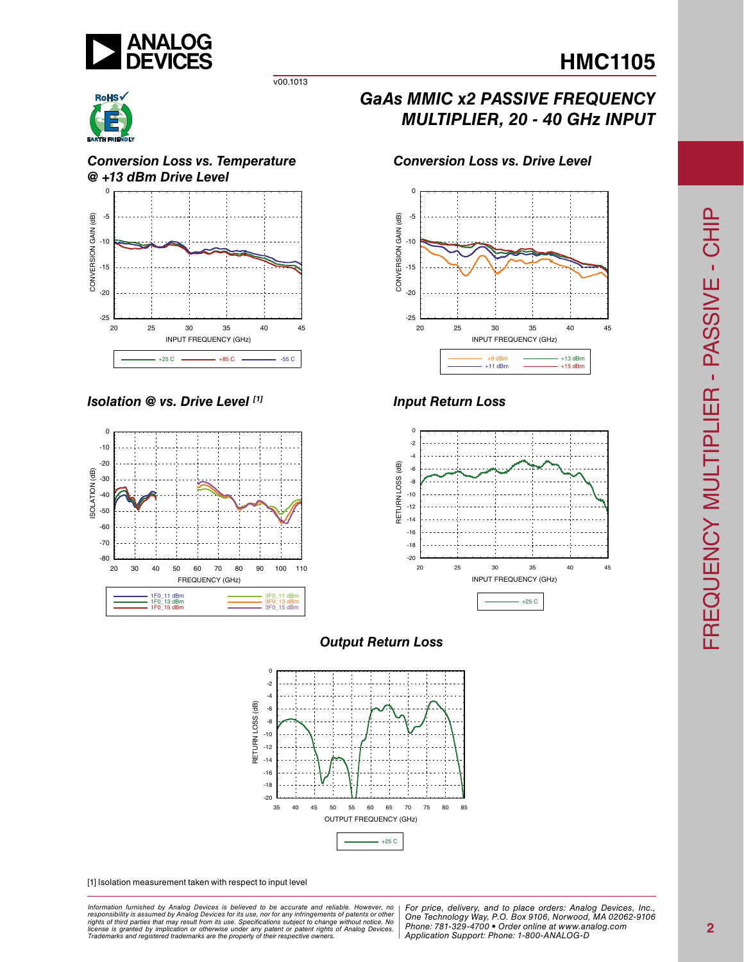

v00.1013



#### *Conversion Loss vs. Temperature @ +13 dBm Drive Level*



#### *Isolation @ vs. Drive Level [1] Input Return Loss*



### *Output Return Loss*



#### [1] Isolation measurement taken with respect to input level

ormation furnished by Analog Devices is believed to be accurate and reliable. However, no | For price, delivery, and to place orders: Analog Devices, Inc.,<br>popsibility is assumed by Analog Devices for its use, not for any *pressult from its use. Specifications subject to change without notice. No*<br>ation or otherwise under any patent or patent rights of Analog Devices Phone: 781-329-4700 • Order online at ww *e* the property of their respective owners. **Application Support: Phone: 1-8** *Information furnished by Analog Devices is believed to be accurate and reliable. However, no*  responsibility is assumed by Analog Devices for its use, nor for any infringements of patents or other<br>rights of third parties that may result from its use. Specifications subject to change without notice. No<br>license is gr

*Phone: 781-329-4700 • Order online at www.analog.com Application Support: Phone: 1-800-ANALOG-D*

## *GaAs MMIC x2 PASSIVE FREQUENCY MULTIPLIER, 20 - 40 GHz INPUT*

*Conversion Loss vs. Drive Level*



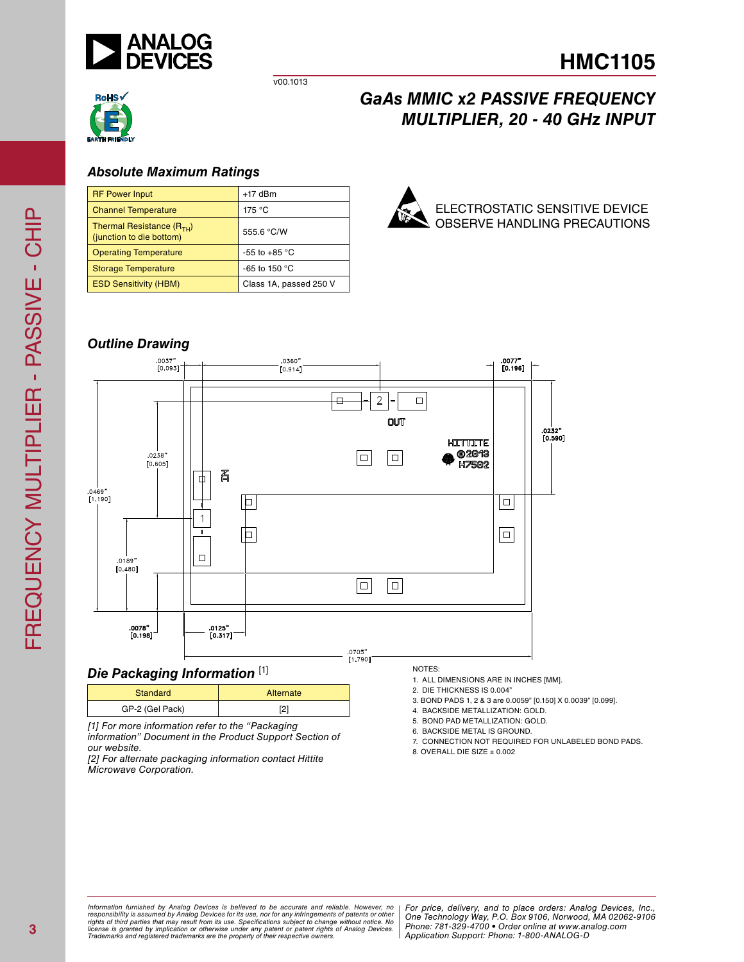

v00.1013

# **HMC1105**



### *Absolute Maximum Ratings*

| <b>RF Power Input</b>                                     | $+17$ dBm              |  |
|-----------------------------------------------------------|------------------------|--|
| <b>Channel Temperature</b>                                | 175 °C                 |  |
| Thermal Resistance $(R_{TH})$<br>(junction to die bottom) | 555.6 °C/W             |  |
| <b>Operating Temperature</b>                              | $-55$ to $+85$ °C      |  |
| <b>Storage Temperature</b>                                | -65 to 150 $\degree$ C |  |
| <b>ESD Sensitivity (HBM)</b>                              | Class 1A, passed 250 V |  |



*GaAs MMIC x2 PASSIVE FREQUENCY* 

*MULTIPLIER, 20 - 40 GHz INPUT*

#### *Outline Drawing*



#### *Die Packaging Information* [1]

| <b>Standard</b> | Alternate |  |
|-----------------|-----------|--|
| GP-2 (Gel Pack) |           |  |

*[1] For more information refer to the "Packaging information" Document in the Product Support Section of our website.*

*[2] For alternate packaging information contact Hittite Microwave Corporation.*

#### NOTES:

- 1. ALL DIMENSIONS ARE IN INCHES [MM].
- 2. DIE THICKNESS IS 0.004"
- 3. BOND PADS 1, 2 & 3 are 0.0059" [0.150] X 0.0039" [0.099].
- 4. BACKSIDE METALLIZATION: GOLD.
- 5. BOND PAD METALLIZATION: GOLD.
- 6. BACKSIDE METAL IS GROUND.
- 7. CONNECTION NOT REQUIRED FOR UNLABELED BOND PADS.
- 8. OVERALL DIE SIZE  $\pm 0.002$

ormation furnished by Analog Devices is believed to be accurate and reliable. However, no | For price, delivery, and to place orders: Analog Devices, Inc.,<br>popsibility is assumed by Analog Devices for its use, not for any *pressult from its use. Specifications subject to change without notice. No*<br>ation or otherwise under any patent or patent rights of Analog Devices Phone: 781-329-4700 • Order online at ww *e* the property of their respective owners. **Application Support: Phone: 1-8** *Information furnished by Analog Devices is believed to be accurate and reliable. However, no*  responsibility is assumed by Analog Devices for its use, nor for any infringements of patents or other<br>rights of third parties that may result from its use. Specifications subject to change without notice. No<br>license is gr

*Phone: 781-329-4700 • Order online at www.analog.com Application Support: Phone: 1-800-ANALOG-D*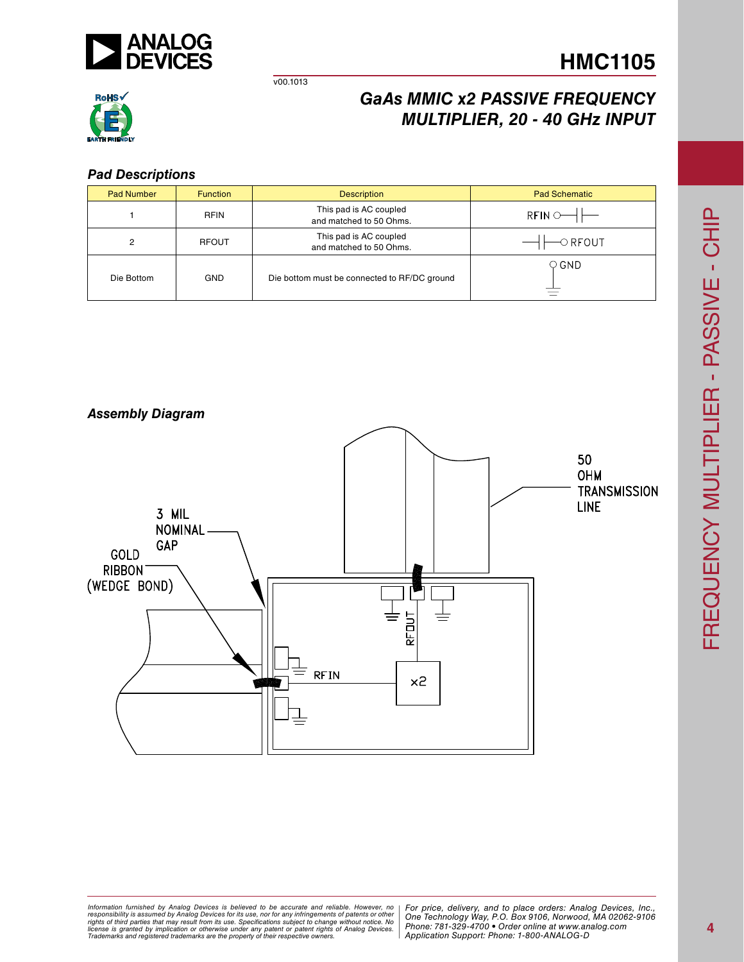

v00.1013

### *GaAs MMIC x2 PASSIVE FREQUENCY MULTIPLIER, 20 - 40 GHz INPUT*



#### *Pad Descriptions*

| Pad Number | <b>Function</b> | <b>Description</b>                                | <b>Pad Schematic</b> |  |
|------------|-----------------|---------------------------------------------------|----------------------|--|
|            | <b>RFIN</b>     | This pad is AC coupled<br>and matched to 50 Ohms. | $RFIN$ $O-$          |  |
| 0          | <b>RFOUT</b>    | This pad is AC coupled<br>and matched to 50 Ohms. | $\sim$ RFOUT         |  |
| Die Bottom | <b>GND</b>      | Die bottom must be connected to RF/DC ground      | ೦ GND                |  |



*Formation iurnished by Analog Devices is believed to be accurate and reliable. However, no Hor price, delivery, and to place orders: Analog Devices, In<br>roonsibility is assumed by Analog Devices for its use, nor for any pressult from its use. Specifications subject to change without notice. No*<br>ation or otherwise under any patent or patent rights of Analog Devices Phone: 781-329-4700 • Order online at ww *e* the property of their respective owners. **Application Support: Phone: 1-8** Information furnished by Analog Devices is believed to be accurate and reliable. However, no<br>responsibility is assumed by Analog Devices for its use, nor for any infringements of patents or other<br>rights of third parties th

*For price, delivery, and to place orders: Analog Devices, Inc., One Technology Way, P.O. Box 9106, Norwood, MA 02062-9106 Phone: 781-329-4700 • Order online at www.analog.com Application Support: Phone: 1-800-ANALOG-D*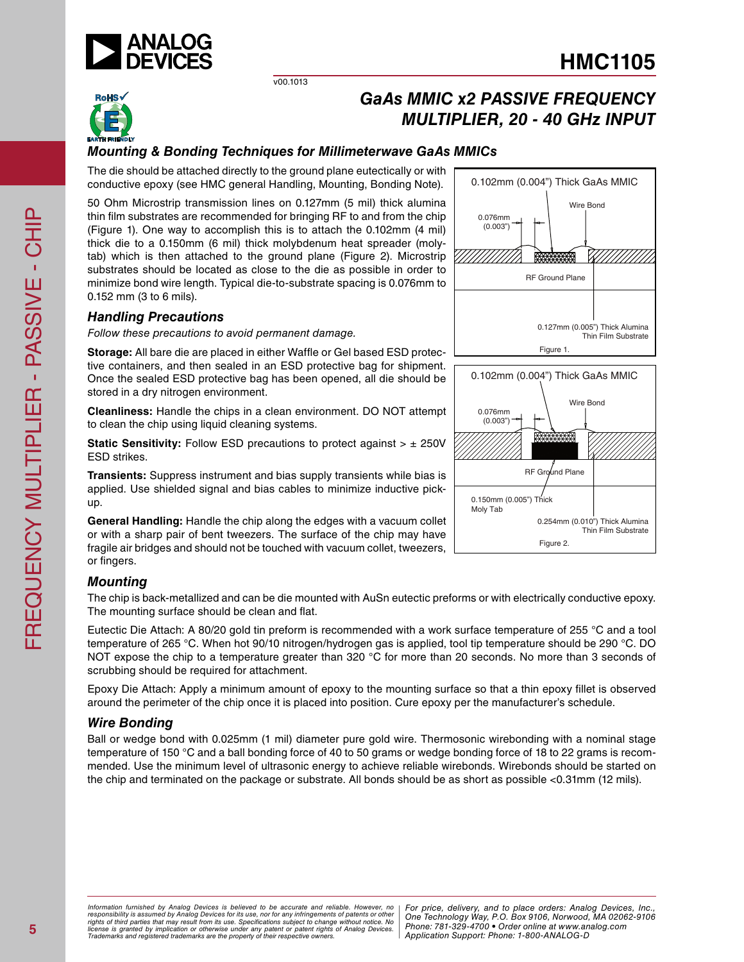

# *GaAs MMIC x2 PASSIVE FREQUENCY MULTIPLIER, 20 - 40 GHz INPUT*

#### *Mounting & Bonding Techniques for Millimeterwave GaAs MMICs*

v00.1013

The die should be attached directly to the ground plane eutectically or with conductive epoxy (see HMC general Handling, Mounting, Bonding Note).

50 Ohm Microstrip transmission lines on 0.127mm (5 mil) thick alumina thin film substrates are recommended for bringing RF to and from the chip (Figure 1). One way to accomplish this is to attach the 0.102mm (4 mil) thick die to a 0.150mm (6 mil) thick molybdenum heat spreader (molytab) which is then attached to the ground plane (Figure 2). Microstrip substrates should be located as close to the die as possible in order to minimize bond wire length. Typical die-to-substrate spacing is 0.076mm to 0.152 mm (3 to 6 mils).

#### *Handling Precautions*

*Follow these precautions to avoid permanent damage.*

**Storage:** All bare die are placed in either Waffle or Gel based ESD protective containers, and then sealed in an ESD protective bag for shipment. Once the sealed ESD protective bag has been opened, all die should be stored in a dry nitrogen environment.

**Cleanliness:** Handle the chips in a clean environment. DO NOT attempt to clean the chip using liquid cleaning systems.

**Static Sensitivity:** Follow ESD precautions to protect against  $> \pm 250V$ ESD strikes.

**Transients:** Suppress instrument and bias supply transients while bias is applied. Use shielded signal and bias cables to minimize inductive pickup.

**General Handling:** Handle the chip along the edges with a vacuum collet or with a sharp pair of bent tweezers. The surface of the chip may have fragile air bridges and should not be touched with vacuum collet, tweezers, or fingers.

#### *Mounting*

The chip is back-metallized and can be die mounted with AuSn eutectic preforms or with electrically conductive epoxy. The mounting surface should be clean and flat.

Eutectic Die Attach: A 80/20 gold tin preform is recommended with a work surface temperature of 255 °C and a tool temperature of 265 °C. When hot 90/10 nitrogen/hydrogen gas is applied, tool tip temperature should be 290 °C. DO NOT expose the chip to a temperature greater than 320 °C for more than 20 seconds. No more than 3 seconds of scrubbing should be required for attachment.

Epoxy Die Attach: Apply a minimum amount of epoxy to the mounting surface so that a thin epoxy fillet is observed around the perimeter of the chip once it is placed into position. Cure epoxy per the manufacturer's schedule.

#### *Wire Bonding*

Ball or wedge bond with 0.025mm (1 mil) diameter pure gold wire. Thermosonic wirebonding with a nominal stage temperature of 150 °C and a ball bonding force of 40 to 50 grams or wedge bonding force of 18 to 22 grams is recommended. Use the minimum level of ultrasonic energy to achieve reliable wirebonds. Wirebonds should be started on the chip and terminated on the package or substrate. All bonds should be as short as possible <0.31mm (12 mils).



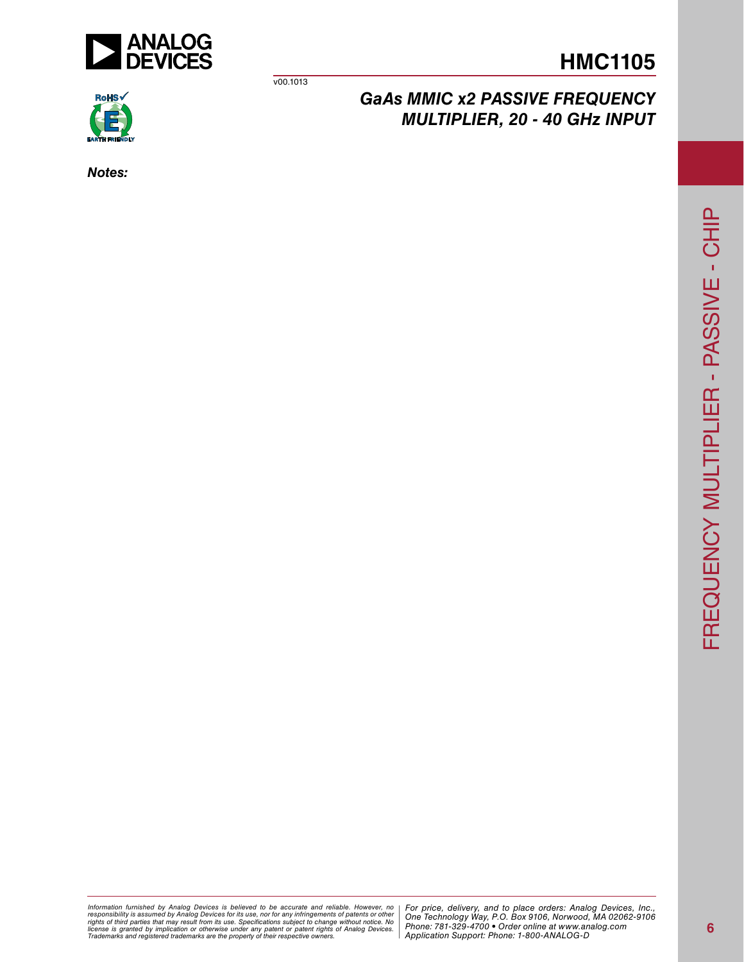

v00.1013



*Notes:*

*GaAs MMIC x2 PASSIVE FREQUENCY MULTIPLIER, 20 - 40 GHz INPUT*

*Formation iurnished by Analog Devices is believed to be accurate and reliable. However, no Hor price, delivery, and to place orders: Analog Devices, In<br>roonsibility is assumed by Analog Devices for its use, nor for any pressult from its use. Specifications subject to change without notice. No*<br>ation or otherwise under any patent or patent rights of Analog Devices Phone: 781-329-4700 • Order online at ww *e* the property of their respective owners. **Application Support: Phone: 1-8** Information furnished by Analog Devices is believed to be accurate and reliable. However, no<br>responsibility is assumed by Analog Devices for its use, nor for any infringements of patents or other<br>rights of third parties th

*For price, delivery, and to place orders: Analog Devices, Inc., One Technology Way, P.O. Box 9106, Norwood, MA 02062-9106 Phone: 781-329-4700 • Order online at www.analog.com Application Support: Phone: 1-800-ANALOG-D*